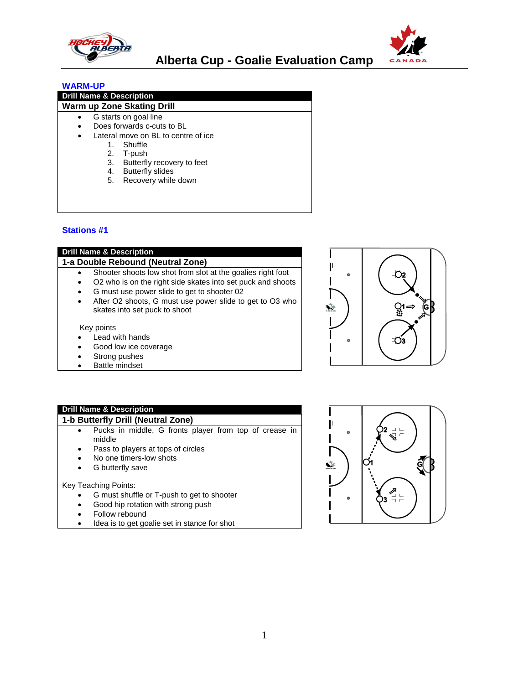



# **WARM-UP**

### **Drill Name & Description Warm up Zone Skating Drill**

- G starts on goal line
- Does forwards c-cuts to BL
- Lateral move on BL to centre of ice
	- 1. Shuffle
	- 2. T-push
	- 3. Butterfly recovery to feet
	- 4. Butterfly slides
	- 5. Recovery while down

## **Stations #1**

# **Drill Name & Description 1-a Double Rebound (Neutral Zone)** Shooter shoots low shot from slot at the goalies right foot O2 who is on the right side skates into set puck and shoots G must use power slide to get to shooter 02 After O2 shoots, G must use power slide to get to O3 who skates into set puck to shoot Key points Lead with hands Good low ice coverage

- Strong pushes
- Battle mindset



# **Drill Name & Description**

### **1-b Butterfly Drill (Neutral Zone)**

- Pucks in middle, G fronts player from top of crease in middle
- Pass to players at tops of circles
- No one timers-low shots
- G butterfly save

#### Key Teaching Points:

- G must shuffle or T-push to get to shooter
- Good hip rotation with strong push
- Follow rebound
- Idea is to get goalie set in stance for shot

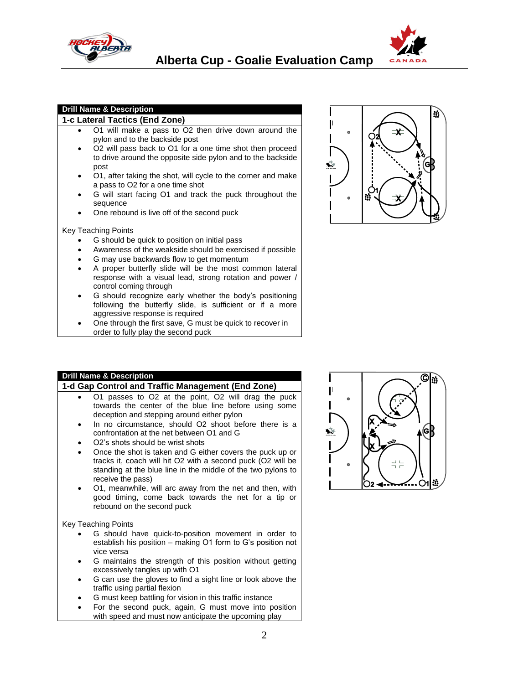





### **Drill Name & Description**

#### **1-c Lateral Tactics (End Zone)**

- O1 will make a pass to O2 then drive down around the pylon and to the backside post
- O2 will pass back to O1 for a one time shot then proceed to drive around the opposite side pylon and to the backside post
- O1, after taking the shot, will cycle to the corner and make a pass to O2 for a one time shot
- G will start facing O1 and track the puck throughout the sequence
- One rebound is live off of the second puck

Key Teaching Points

- G should be quick to position on initial pass
- Awareness of the weakside should be exercised if possible
- G may use backwards flow to get momentum
- A proper butterfly slide will be the most common lateral response with a visual lead, strong rotation and power / control coming through
- G should recognize early whether the body's positioning following the butterfly slide, is sufficient or if a more aggressive response is required
- One through the first save, G must be quick to recover in order to fully play the second puck



### **Drill Name & Description**

| 1-d Gap Control and Traffic Management (End Zone)                                                                                                                                                                                                                                                                                                                                                                                                                                                                                                                                                                                                                                                                          |
|----------------------------------------------------------------------------------------------------------------------------------------------------------------------------------------------------------------------------------------------------------------------------------------------------------------------------------------------------------------------------------------------------------------------------------------------------------------------------------------------------------------------------------------------------------------------------------------------------------------------------------------------------------------------------------------------------------------------------|
| O1 passes to O2 at the point, O2 will drag the puck<br>towards the center of the blue line before using some<br>deception and stepping around either pylon<br>In no circumstance, should O2 shoot before there is a<br>$\bullet$<br>confrontation at the net between O1 and G<br>O2's shots should be wrist shots<br>$\bullet$<br>Once the shot is taken and G either covers the puck up or<br>$\bullet$<br>tracks it, coach will hit O2 with a second puck (O2 will be<br>standing at the blue line in the middle of the two pylons to<br>receive the pass)<br>O1, meanwhile, will arc away from the net and then, with<br>$\bullet$<br>good timing, come back towards the net for a tip or<br>rebound on the second puck |
| <b>Key Teaching Points</b><br>G should have quick-to-position movement in order to<br>establish his position – making $O1$ form to $G$ 's position not                                                                                                                                                                                                                                                                                                                                                                                                                                                                                                                                                                     |

- blish his position making O1 form to G's position not vice versa
- G maintains the strength of this position without getting excessively tangles up with O1
- G can use the gloves to find a sight line or look above the traffic using partial flexion
- G must keep battling for vision in this traffic instance
- For the second puck, again, G must move into position with speed and must now anticipate the upcoming play

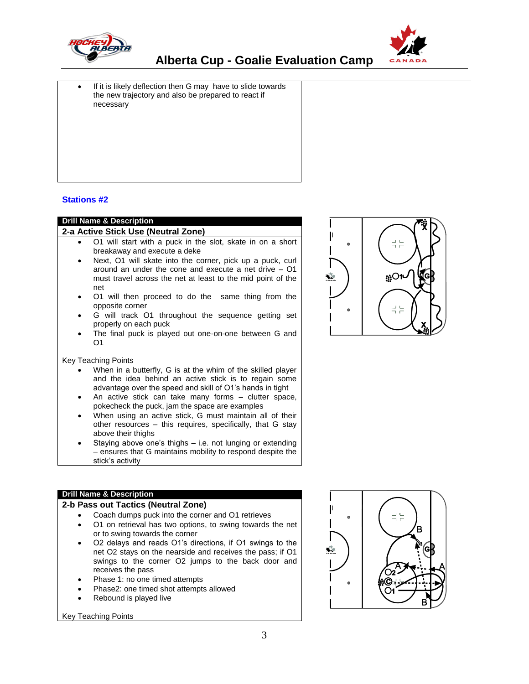



 If it is likely deflection then G may have to slide towards the new trajectory and also be prepared to react if necessary

## **Stations #2**

### **Drill Name & Description 2-a Active Stick Use (Neutral Zone)**

- O1 will start with a puck in the slot, skate in on a short breakaway and execute a deke
- Next, O1 will skate into the corner, pick up a puck, curl around an under the cone and execute a net drive – O1 must travel across the net at least to the mid point of the net
- O1 will then proceed to do the same thing from the opposite corner
- G will track O1 throughout the sequence getting set properly on each puck
- The final puck is played out one-on-one between G and O1

Key Teaching Points

- When in a butterfly, G is at the whim of the skilled player and the idea behind an active stick is to regain some advantage over the speed and skill of O1's hands in tight
- An active stick can take many forms clutter space, pokecheck the puck, jam the space are examples
- When using an active stick, G must maintain all of their other resources – this requires, specifically, that G stay above their thighs
- Staying above one's thighs i.e. not lunging or extending – ensures that G maintains mobility to respond despite the stick's activity

#### **Drill Name & Description**

#### **2-b Pass out Tactics (Neutral Zone)**

- Coach dumps puck into the corner and O1 retrieves
- O1 on retrieval has two options, to swing towards the net or to swing towards the corner
- O2 delays and reads O1's directions, if O1 swings to the net O2 stays on the nearside and receives the pass; if O1 swings to the corner O2 jumps to the back door and receives the pass
- Phase 1: no one timed attempts
- Phase2: one timed shot attempts allowed
- Rebound is played live

Key Teaching Points



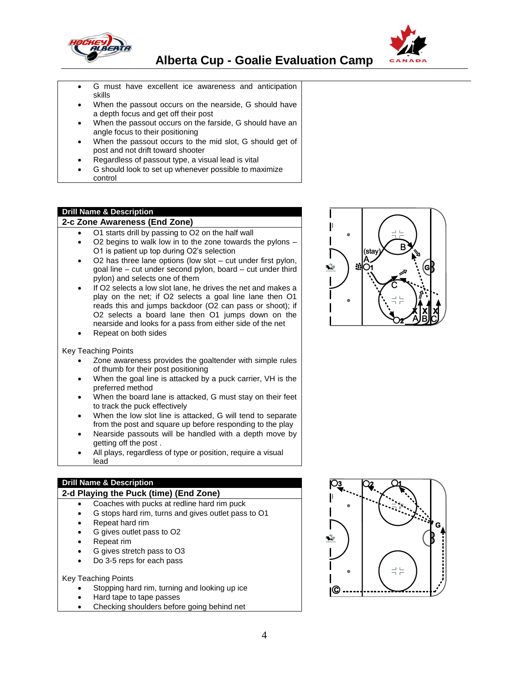



- G must have excellent ice awareness and anticipation skills
- When the passout occurs on the nearside, G should have a depth focus and get off their post
- When the passout occurs on the farside, G should have an angle focus to their positioning
- When the passout occurs to the mid slot, G should get of post and not drift toward shooter
- Regardless of passout type, a visual lead is vital
- G should look to set up whenever possible to maximize control

### **Drill Name & Description**

### **2-c Zone Awareness (End Zone)**

- O1 starts drill by passing to O2 on the half wall
- O2 begins to walk low in to the zone towards the pylons O1 is patient up top during O2's selection
- O2 has three lane options (low slot cut under first pylon, goal line – cut under second pylon, board – cut under third pylon) and selects one of them
- If O2 selects a low slot lane, he drives the net and makes a play on the net; if O2 selects a goal line lane then O1 reads this and jumps backdoor (O2 can pass or shoot); if O2 selects a board lane then O1 jumps down on the nearside and looks for a pass from either side of the net
- Repeat on both sides

### Key Teaching Points

- Zone awareness provides the goaltender with simple rules of thumb for their post positioning
- When the goal line is attacked by a puck carrier, VH is the preferred method
- When the board lane is attacked, G must stay on their feet to track the puck effectively
- When the low slot line is attacked, G will tend to separate from the post and square up before responding to the play
- Nearside passouts will be handled with a depth move by getting off the post .
- All plays, regardless of type or position, require a visual lead

## **Drill Name & Description**

## **2-d Playing the Puck (time) (End Zone)**

- Coaches with pucks at redline hard rim puck
- G stops hard rim, turns and gives outlet pass to O1
- Repeat hard rim
- G gives outlet pass to O2
- Repeat rim
- G gives stretch pass to O3
- Do 3-5 reps for each pass

Key Teaching Points

- Stopping hard rim, turning and looking up ice
- Hard tape to tape passes
- Checking shoulders before going behind net